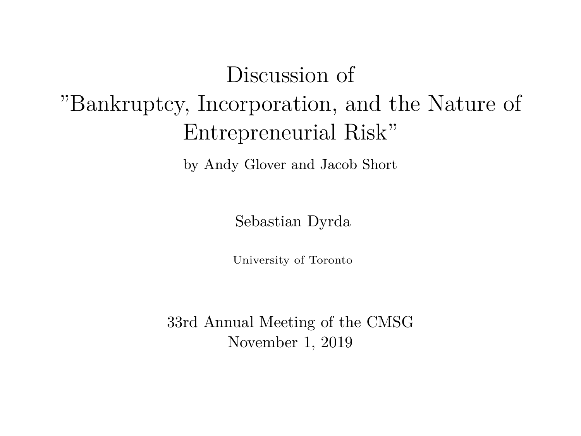# Discussion of "Bankruptcy, Incorporation, and the Nature of Entrepreneurial Risk"

by Andy Glover and Jacob Short

Sebastian Dyrda

University of Toronto

33rd Annual Meeting of the CMSG November 1, 2019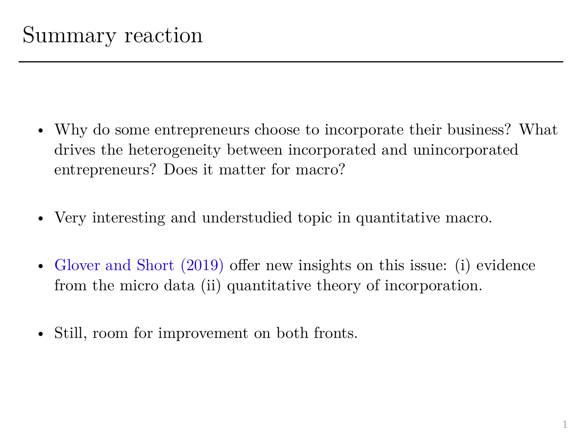- Why do some entrepreneurs choose to incorporate their business? What drives the heterogeneity between incorporated and unincorporated entrepreneurs? Does it matter for macro?
- Very interesting and understudied topic in quantitative macro.
- Glover and Short (2019) offer new insights on this issue: (i) evidence from the micro data (ii) quantitative theory of incorporation.
- Still, room for improvement on both fronts.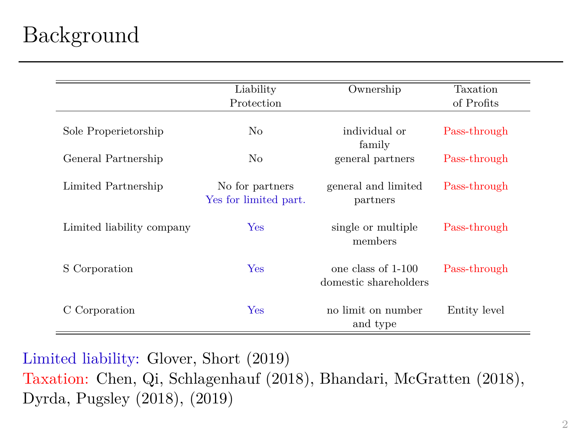### Background

|                           | Liability             | Ownership             | Taxation     |
|---------------------------|-----------------------|-----------------------|--------------|
|                           | Protection            |                       | of Profits   |
|                           |                       |                       |              |
| Sole Properietorship      | No                    | individual or         | Pass-through |
|                           |                       | family                |              |
| General Partnership       | No                    | general partners      | Pass-through |
|                           |                       |                       |              |
| Limited Partnership       | No for partners       | general and limited   | Pass-through |
|                           | Yes for limited part. | partners              |              |
|                           |                       |                       |              |
| Limited liability company | Yes                   | single or multiple    | Pass-through |
|                           |                       | members               |              |
|                           |                       |                       |              |
| S Corporation             | <b>Yes</b>            | one class of 1-100    | Pass-through |
|                           |                       | domestic shareholders |              |
|                           |                       |                       |              |
| C Corporation             | <b>Yes</b>            | no limit on number    | Entity level |
|                           |                       |                       |              |
|                           |                       | and type              |              |

Limited liability: Glover, Short (2019) Taxation: Chen, Qi, Schlagenhauf (2018), Bhandari, McGratten (2018), Dyrda, Pugsley (2018), (2019)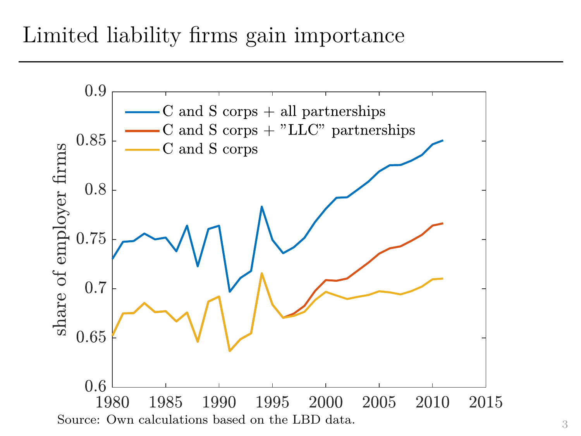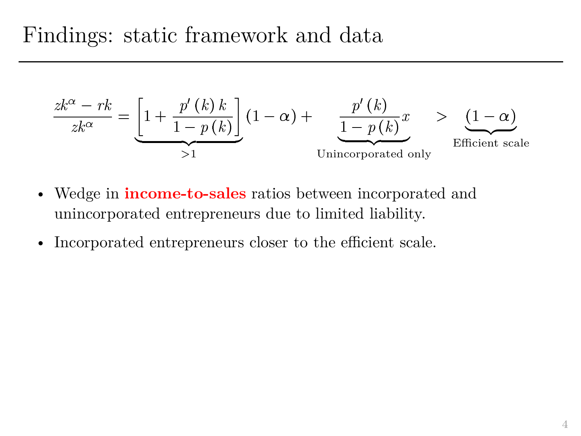Findings: static framework and data

\n
$$
\frac{zk^{\alpha} - rk}{zk^{\alpha}} = \underbrace{\left[1 + \frac{p'(k)k}{1 - p(k)}\right]}_{>1} (1 - \alpha) + \underbrace{\frac{p'(k)}{1 - p(k)}x}_{\text{Unincorporated only}} > \underbrace{\frac{(1 - \alpha)}{E \text{fficient scale}}}
$$

- Wedge in **income-to-sales** ratios between incorporated and unincorporated entrepreneurs due to limited liability.
- Incorporated entrepreneurs closer to the efficient scale.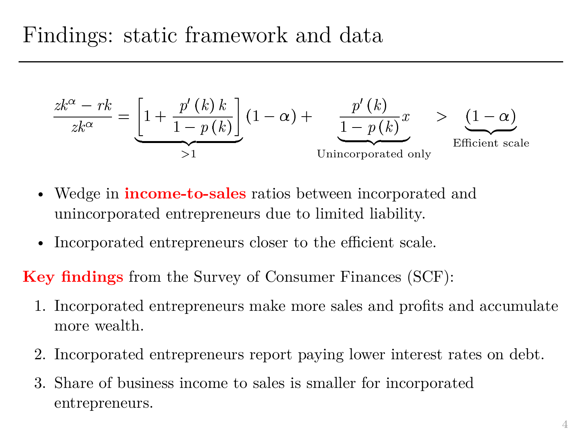Findings: static framework and data

\n
$$
\frac{zk^{\alpha} - rk}{zk^{\alpha}} = \underbrace{\left[1 + \frac{p'(k)k}{1 - p(k)}\right]}_{>1} (1 - \alpha) + \underbrace{\frac{p'(k)}{1 - p(k)}x}_{\text{Unincorporated only}} > \underbrace{\frac{(1 - \alpha)}{E \text{fficient scale}}}
$$

- Wedge in **income-to-sales** ratios between incorporated and unincorporated entrepreneurs due to limited liability.
- Incorporated entrepreneurs closer to the efficient scale.

**Key findings** from the Survey of Consumer Finances (SCF):

- 1. Incorporated entrepreneurs make more sales and profits and accumulate more wealth.
- 2. Incorporated entrepreneurs report paying lower interest rates on debt.
- 3. Share of business income to sales is smaller for incorporated entrepreneurs.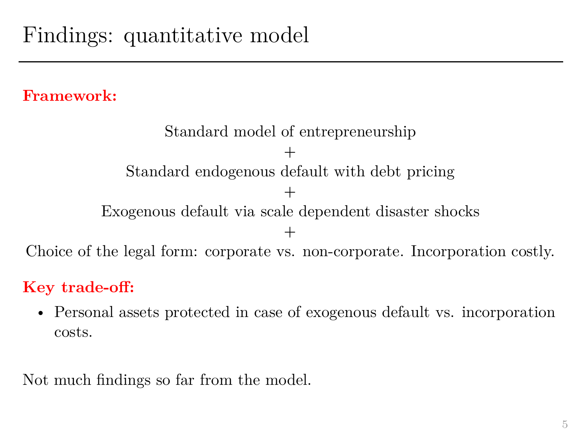#### **Framework:**

Standard model of entrepreneurship + Standard endogenous default with debt pricing  $+$ Exogenous default via scale dependent disaster shocks + Choice of the legal form: corporate vs. non-corporate. Incorporation costly.

### **Key trade-off:**

• Personal assets protected in case of exogenous default vs. incorporation costs.

Not much findings so far from the model.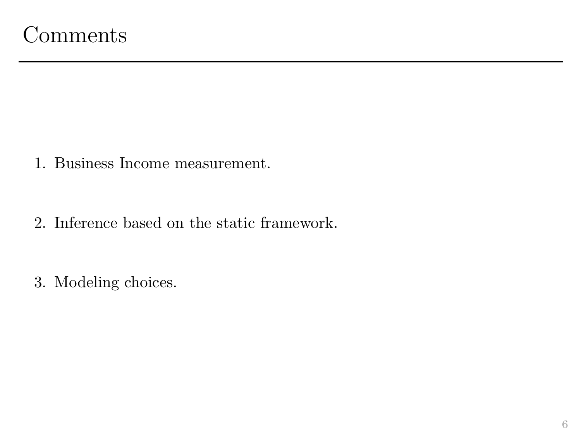- 1. Business Income measurement.
- 2. Inference based on the static framework.
- 3. Modeling choices.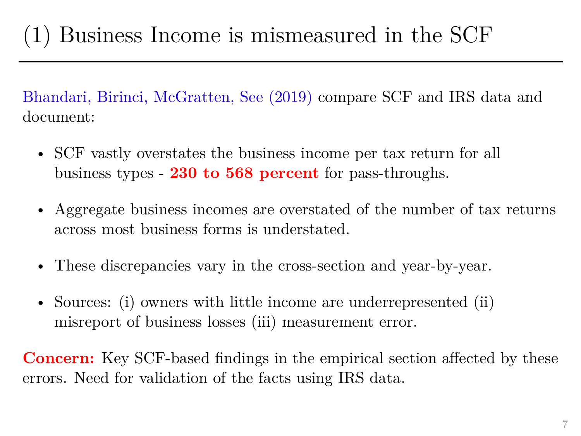Bhandari, Birinci, McGratten, See (2019) compare SCF and IRS data and document:

- SCF vastly overstates the business income per tax return for all business types - **230 to 568 percent** for pass-throughs.
- Aggregate business incomes are overstated of the number of tax returns across most business forms is understated.
- These discrepancies vary in the cross-section and year-by-year.
- Sources: (i) owners with little income are underrepresented (ii) misreport of business losses (iii) measurement error.

**Concern:** Key SCF-based findings in the empirical section affected by these errors. Need for validation of the facts using IRS data.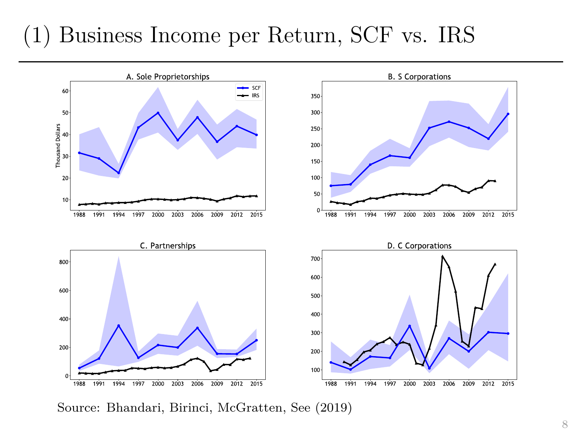### (1) Business Income per Return, SCF vs. IRS



Source: Bhandari, Birinci, McGratten, See (2019)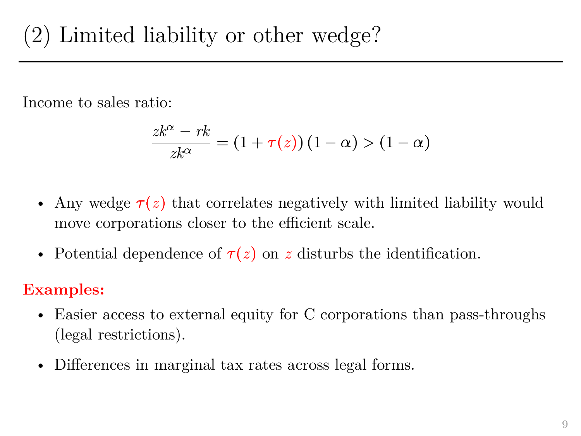Income to sales ratio:

It is a linear combination of 
$$
z = \frac{z k^{\alpha} - r k}{z k^{\alpha}} = (1 + \tau(z))(1 - \alpha) > (1 - \alpha)
$$

- Any wedge  $\tau(z)$  that correlates negatively with limited liability would move corporations closer to the efficient scale.
- Potential dependence of  $\tau(z)$  on *z* disturbs the identification.

### **Examples:**

- Easier access to external equity for C corporations than pass-throughs (legal restrictions).
- Differences in marginal tax rates across legal forms.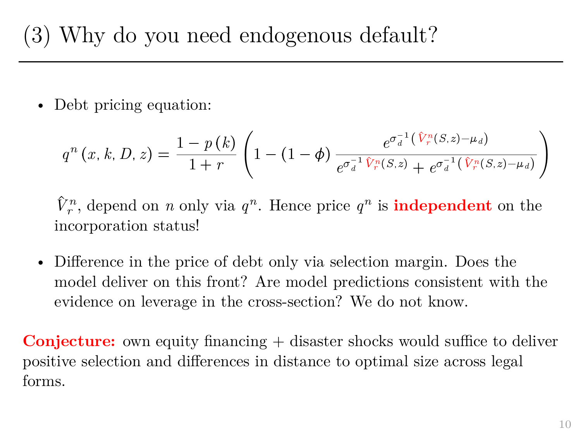## (3) Why do you need endogenous default?

• Debt pricing equation:

$$
\text{Debt pricing equation:}
$$
\n
$$
q^{n}(x, k, D, z) = \frac{1 - p(k)}{1 + r} \left( 1 - (1 - \phi) \frac{e^{\sigma_a^{-1}(\hat{V}_r^n(S, z) - \mu_d)}}{e^{\sigma_a^{-1} \hat{V}_r^n(S, z)} + e^{\sigma_a^{-1}(\hat{V}_r^n(S, z) - \mu_d)}} \right)
$$

 $\hat{V}^n_r$ , depend on *n* only via  $q^n$ . Hence price  $q^n$  is **independent** on the incorporation status!

• Difference in the price of debt only via selection margin. Does the model deliver on this front? Are model predictions consistent with the evidence on leverage in the cross-section? We do not know.

**Conjecture:** own equity financing + disaster shocks would suffice to deliver positive selection and differences in distance to optimal size across legal forms.